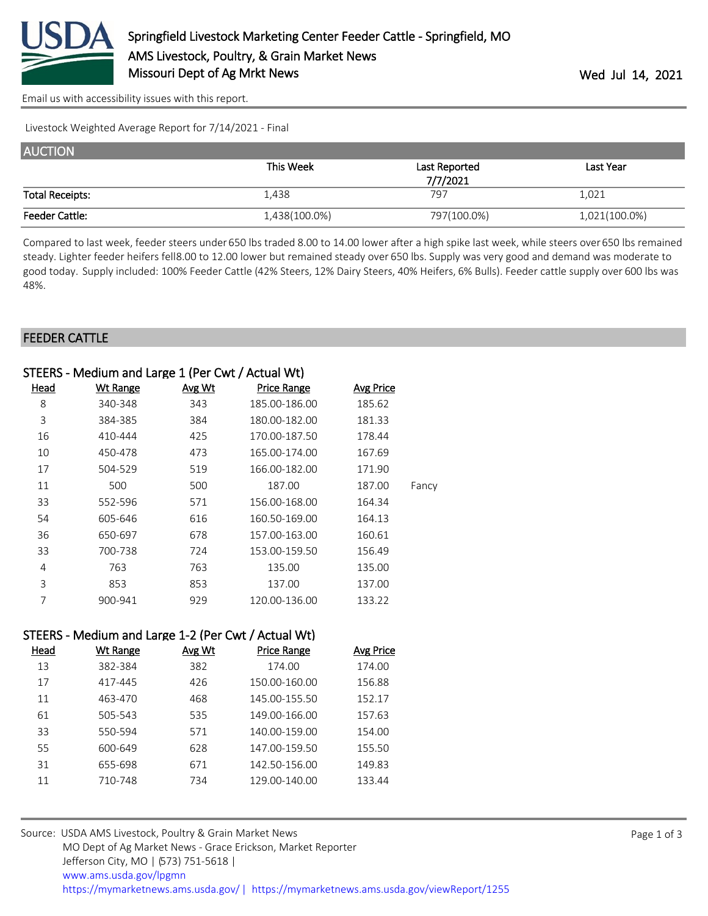

[Email us with accessibility issues with this report.](mailto:mars@ams.usda.gov?subject=508%20issue)

Livestock Weighted Average Report for 7/14/2021 - Final

| <b>AUCTION</b>         |               |               |               |
|------------------------|---------------|---------------|---------------|
|                        | This Week     | Last Reported | Last Year     |
|                        |               | 7/7/2021      |               |
| <b>Total Receipts:</b> | 1,438         | 797           | 1,021         |
| <b>Feeder Cattle:</b>  | 1,438(100.0%) | 797(100.0%)   | 1,021(100.0%) |

Compared to last week, feeder steers under 650 lbs traded 8.00 to 14.00 lower after a high spike last week, while steers over 650 lbs remained steady. Lighter feeder heifers fell8.00 to 12.00 lower but remained steady over 650 lbs. Supply was very good and demand was moderate to good today. Supply included: 100% Feeder Cattle (42% Steers, 12% Dairy Steers, 40% Heifers, 6% Bulls). Feeder cattle supply over 600 lbs was 48%.

#### FEEDER CATTLE

| STEERS - Medium and Large 1 (Per Cwt / Actual Wt) |                 |        |                    |                  |       |
|---------------------------------------------------|-----------------|--------|--------------------|------------------|-------|
| Head                                              | <b>Wt Range</b> | Avg Wt | <b>Price Range</b> | <b>Avg Price</b> |       |
| 8                                                 | 340-348         | 343    | 185.00-186.00      | 185.62           |       |
| 3                                                 | 384-385         | 384    | 180.00-182.00      | 181.33           |       |
| 16                                                | 410-444         | 425    | 170.00-187.50      | 178.44           |       |
| 10                                                | 450-478         | 473    | 165.00-174.00      | 167.69           |       |
| 17                                                | 504-529         | 519    | 166.00-182.00      | 171.90           |       |
| 11                                                | 500             | 500    | 187.00             | 187.00           | Fancy |
| 33                                                | 552-596         | 571    | 156.00-168.00      | 164.34           |       |
| 54                                                | 605-646         | 616    | 160.50-169.00      | 164.13           |       |
| 36                                                | 650-697         | 678    | 157.00-163.00      | 160.61           |       |
| 33                                                | 700-738         | 724    | 153.00-159.50      | 156.49           |       |
| 4                                                 | 763             | 763    | 135.00             | 135.00           |       |
| 3                                                 | 853             | 853    | 137.00             | 137.00           |       |
| 7                                                 | 900-941         | 929    | 120.00-136.00      | 133.22           |       |

| STEERS - Medium and Large 1-2 (Per Cwt / Actual Wt) |          |        |                    |           |  |
|-----------------------------------------------------|----------|--------|--------------------|-----------|--|
| Head                                                | Wt Range | Avg Wt | <b>Price Range</b> | Avg Price |  |
| 13                                                  | 382-384  | 382    | 174.00             | 174.00    |  |
| 17                                                  | 417-445  | 426    | 150.00-160.00      | 156.88    |  |
| 11                                                  | 463-470  | 468    | 145.00-155.50      | 152.17    |  |
| 61                                                  | 505-543  | 535    | 149.00-166.00      | 157.63    |  |
| 33                                                  | 550-594  | 571    | 140.00-159.00      | 154.00    |  |
| 55                                                  | 600-649  | 628    | 147.00-159.50      | 155.50    |  |
| 31                                                  | 655-698  | 671    | 142.50-156.00      | 149.83    |  |
| 11                                                  | 710-748  | 734    | 129.00-140.00      | 133.44    |  |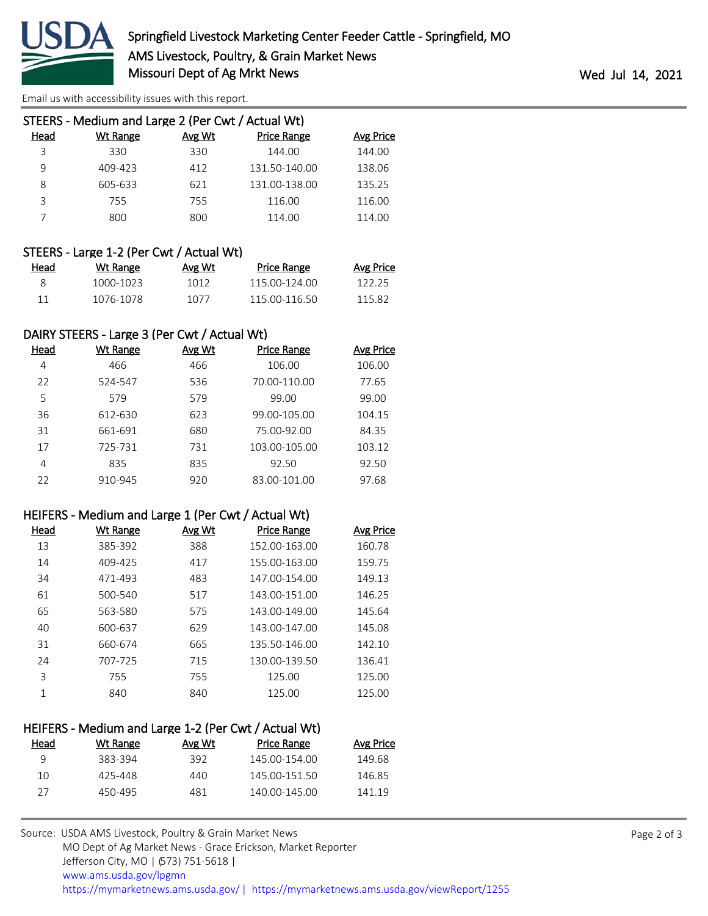

[Email us with accessibility issues with this report.](mailto:mars@ams.usda.gov?subject=508%20issue)

| STEERS - Medium and Large 2 (Per Cwt / Actual Wt) |          |        |                    |           |
|---------------------------------------------------|----------|--------|--------------------|-----------|
| Head                                              | Wt Range | Avg Wt | <b>Price Range</b> | Avg Price |
| 3                                                 | 330      | 330    | 144.00             | 144.00    |
| 9                                                 | 409-423  | 412    | 131.50-140.00      | 138.06    |
| 8                                                 | 605-633  | 621    | 131.00-138.00      | 135.25    |
| ζ                                                 | 755      | 755    | 116.00             | 116.00    |
|                                                   | 800      | 800    | 114.00             | 114.00    |
|                                                   |          |        |                    |           |

## STEERS - Large 1-2 (Per Cwt / Actual Wt)

| Head | Wt Range  | Avg Wt | <b>Price Range</b> | Avg Price |
|------|-----------|--------|--------------------|-----------|
|      | 1000-1023 | 1012   | 115 00-124 00      | 122.25    |
|      | 1076-1078 | 1077   | 115 00-116 50      | 115.82    |

## DAIRY STEERS - Large 3 (Per Cwt / Actual Wt)

| Head | Wt Range | Avg Wt | <b>Price Range</b> | Avg Price |
|------|----------|--------|--------------------|-----------|
| 4    | 466      | 466    | 106.00             | 106.00    |
| 22   | 524-547  | 536    | 70.00-110.00       | 77.65     |
| 5    | 579      | 579    | 99.00              | 99.00     |
| 36   | 612-630  | 623    | 99.00-105.00       | 104.15    |
| 31   | 661-691  | 680    | 75.00-92.00        | 84.35     |
| 17   | 725-731  | 731    | 103.00-105.00      | 103.12    |
| 4    | 835      | 835    | 92.50              | 92.50     |
| 22   | 910-945  | 920    | 83.00-101.00       | 97.68     |

#### HEIFERS - Medium and Large 1 (Per Cwt / Actual Wt)

| Head | <b>Wt Range</b> | <b>Avg Wt</b> | <b>Price Range</b> | <b>Avg Price</b> |
|------|-----------------|---------------|--------------------|------------------|
| 13   | 385-392         | 388           | 152.00-163.00      | 160.78           |
| 14   | 409-425         | 417           | 155.00-163.00      | 159.75           |
| 34   | 471-493         | 483           | 147.00-154.00      | 149.13           |
| 61   | 500-540         | 517           | 143.00-151.00      | 146.25           |
| 65   | 563-580         | 575           | 143.00-149.00      | 145.64           |
| 40   | 600-637         | 629           | 143.00-147.00      | 145.08           |
| 31   | 660-674         | 665           | 135.50-146.00      | 142.10           |
| 24   | 707-725         | 715           | 130.00-139.50      | 136.41           |
| 3    | 755             | 755           | 125.00             | 125.00           |
| 1    | 840             | 840           | 125.00             | 125.00           |

| HEIFERS - Medium and Large 1-2 (Per Cwt / Actual Wt) |          |        |                    |           |
|------------------------------------------------------|----------|--------|--------------------|-----------|
| Head                                                 | Wt Range | Avg Wt | <b>Price Range</b> | Avg Price |
| q                                                    | 383-394  | 392    | 145.00-154.00      | 149.68    |
| 10                                                   | 425-448  | 440    | 145.00-151.50      | 146.85    |
| 27                                                   | 450-495  | 481    | 140.00-145.00      | 141.19    |
|                                                      |          |        |                    |           |